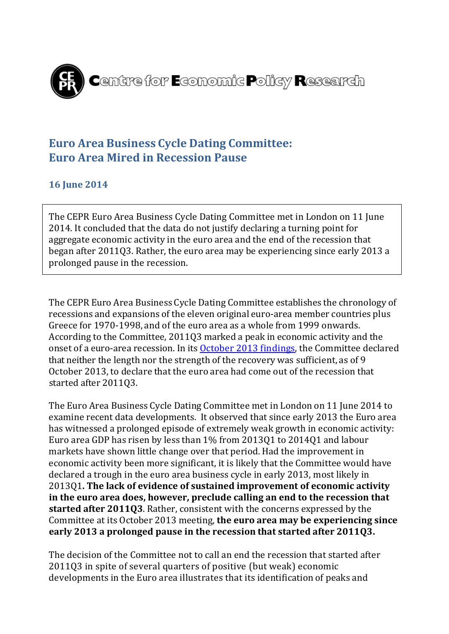

## **Euro Area Business Cycle Dating Committee: Euro Area Mired in Recession Pause**

### **16 June 2014**

The CEPR Euro Area Business Cycle Dating Committee met in London on 11 June 2014. It concluded that the data do not justify declaring a turning point for aggregate economic activity in the euro area and the end of the recession that began after 2011Q3. Rather, the euro area may be experiencing since early 2013 a prolonged pause in the recession.

The CEPR Euro Area Business Cycle Dating Committee establishes the chronology of recessions and expansions of the eleven original euro-area member countries plus Greece for 1970-1998, and of the euro area as a whole from 1999 onwards. According to the Committee, 2011Q3 marked a peak in economic activity and the onset of a euro-area recession. In its **October 2013 findings**, the Committee declared that neither the length nor the strength of the recovery was sufficient, as of 9 October 2013, to declare that the euro area had come out of the recession that started after 2011Q3.

The Euro Area Business Cycle Dating Committee met in London on 11 June 2014 to examine recent data developments. It observed that since early 2013 the Euro area has witnessed a prolonged episode of extremely weak growth in economic activity: Euro area GDP has risen by less than 1% from 2013Q1 to 2014Q1 and labour markets have shown little change over that period. Had the improvement in economic activity been more significant, it is likely that the Committee would have declared a trough in the euro area business cycle in early 2013, most likely in 2013Q1**. The lack of evidence of sustained improvement of economic activity in the euro area does, however, preclude calling an end to the recession that started after 2011Q3**. Rather, consistent with the concerns expressed by the Committee at its October 2013 meeting, **the euro area may be experiencing since early 2013 a prolonged pause in the recession that started after 2011Q3.** 

The decision of the Committee not to call an end the recession that started after 2011Q3 in spite of several quarters of positive (but weak) economic developments in the Euro area illustrates that its identification of peaks and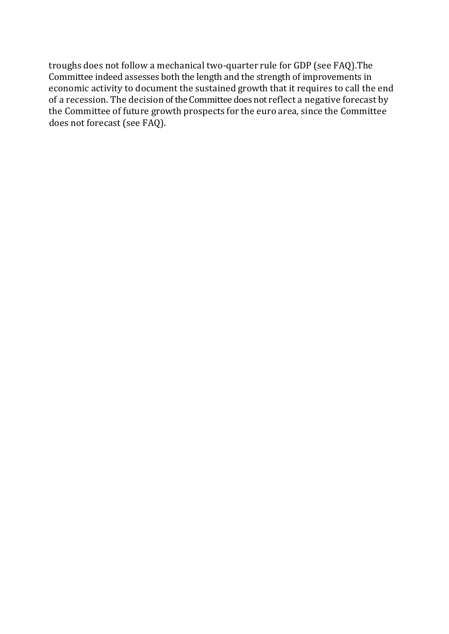troughs does not follow a mechanical two-quarter rule for GDP (see FAQ).The Committee indeed assesses both the length and the strength of improvements in economic activity to document the sustained growth that it requires to call the end of a recession. The decision of the Committee does not reflect a negative forecast by the Committee of future growth prospects for the euro area, since the Committee does not forecast (see FAQ).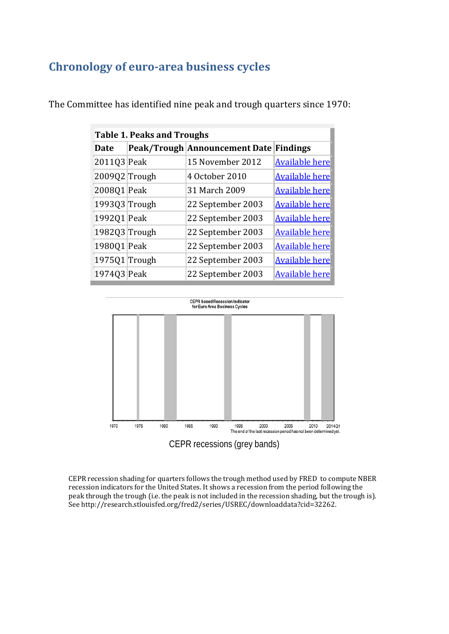# **Chronology of euro-area business cycles**

| <b>Table 1. Peaks and Troughs</b> |  |                               |                       |
|-----------------------------------|--|-------------------------------|-----------------------|
| Date                              |  | Peak/Trough Announcement Date | <b>Findings</b>       |
| 2011Q3 Peak                       |  | 15 November 2012              | <b>Available here</b> |
| 2009Q2 Trough                     |  | 4 October 2010                | <b>Available here</b> |
| 2008Q1 Peak                       |  | 31 March 2009                 | <b>Available here</b> |
| 1993Q3 Trough                     |  | 22 September 2003             | <b>Available here</b> |
| 1992Q1 Peak                       |  | 22 September 2003             | <b>Available here</b> |
| 1982Q3 Trough                     |  | 22 September 2003             | <b>Available here</b> |
| 1980Q1 Peak                       |  | 22 September 2003             | <b>Available here</b> |
| 1975Q1 Trough                     |  | 22 September 2003             | <b>Available here</b> |
| 1974Q3 Peak                       |  | 22 September 2003             | <b>Available here</b> |

The Committee has identified nine peak and trough quarters since 1970:



CEPR recession shading for quarters follows the trough method used by FRED to compute NBER recession indicators for the United States. It shows a recession from the period following the peak through the trough (i.e. the peak is not included in the recession shading, but the trough is). Se[e http://research.stlouisfed.org/fred2/series/USREC/downloaddata?cid=32262.](http://research.stlouisfed.org/fred2/series/USREC/downloaddata?cid=32262)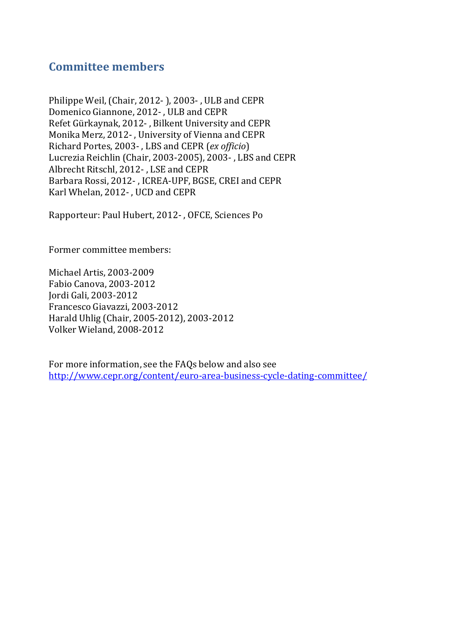### **Committee members**

Philippe Weil, (Chair, 2012- ), 2003- , ULB and CEPR Domenico Giannone, 2012- , ULB and CEPR Refet Gürkaynak, 2012- , Bilkent University and CEPR Monika Merz, 2012- , University of Vienna and CEPR Richard Portes, 2003- , LBS and CEPR (*ex officio*) Lucrezia Reichlin (Chair, 2003-2005), 2003- , LBS and CEPR Albrecht Ritschl, 2012- , LSE and CEPR Barbara Rossi, 2012- , ICREA-UPF, BGSE, CREI and CEPR Karl Whelan, 2012- , UCD and CEPR

Rapporteur: Paul Hubert, 2012- , OFCE, Sciences Po

Former committee members:

Michael Artis, 2003-2009 Fabio Canova, 2003-2012 Jordi Gali, 2003-2012 Francesco Giavazzi, 2003-2012 Harald Uhlig (Chair, 2005-2012), 2003-2012 Volker Wieland, 2008-2012

For more information, see the FAQs below and also see <http://www.cepr.org/content/euro-area-business-cycle-dating-committee/>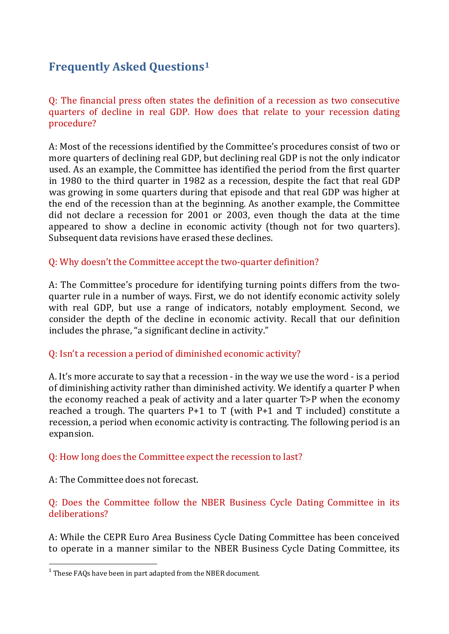## **Frequently Asked Questions[1](#page-4-0)**

Q: The financial press often states the definition of a recession as two consecutive quarters of decline in real GDP. How does that relate to your recession dating procedure?

A: Most of the recessions identified by the Committee's procedures consist of two or more quarters of declining real GDP, but declining real GDP is not the only indicator used. As an example, the Committee has identified the period from the first quarter in 1980 to the third quarter in 1982 as a recession, despite the fact that real GDP was growing in some quarters during that episode and that real GDP was higher at the end of the recession than at the beginning. As another example, the Committee did not declare a recession for 2001 or 2003, even though the data at the time appeared to show a decline in economic activity (though not for two quarters). Subsequent data revisions have erased these declines.

#### Q: Why doesn't the Committee accept the two-quarter definition?

A: The Committee's procedure for identifying turning points differs from the twoquarter rule in a number of ways. First, we do not identify economic activity solely with real GDP, but use a range of indicators, notably employment. Second, we consider the depth of the decline in economic activity. Recall that our definition includes the phrase, "a significant decline in activity."

#### Q: Isn't a recession a period of diminished economic activity?

A. It's more accurate to say that a recession - in the way we use the word - is a period of diminishing activity rather than diminished activity. We identify a quarter P when the economy reached a peak of activity and a later quarter T>P when the economy reached a trough. The quarters  $P+1$  to T (with  $P+1$  and T included) constitute a recession, a period when economic activity is contracting. The following period is an expansion.

#### Q: How long does the Committee expect the recession to last?

A: The Committee does not forecast.

 $\overline{a}$ 

Q: Does the Committee follow the NBER Business Cycle Dating Committee in its deliberations?

A: While the CEPR Euro Area Business Cycle Dating Committee has been conceived to operate in a manner similar to the NBER Business Cycle Dating Committee, its

<span id="page-4-0"></span> $^{\rm 1}$  These FAQs have been in part adapted from the NBER document.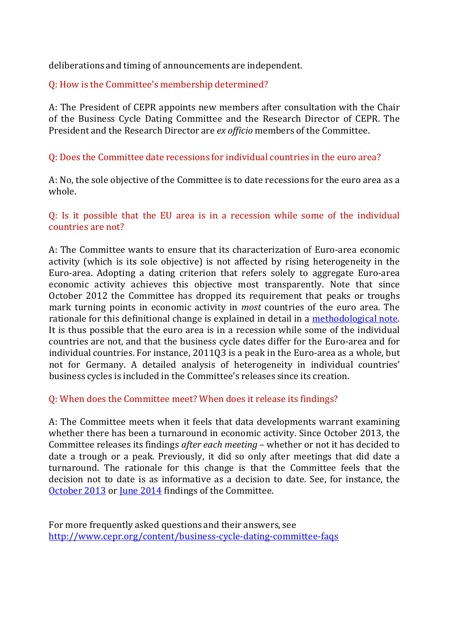deliberations and timing of announcements are independent.

#### Q: How is the Committee's membership determined?

A: The President of CEPR appoints new members after consultation with the Chair of the Business Cycle Dating Committee and the Research Director of CEPR. The President and the Research Director are *ex officio* members of the Committee.

#### Q: Does the Committee date recessions for individual countries in the euro area?

A: No, the sole objective of the Committee is to date recessions for the euro area as a whole.

#### Q: Is it possible that the EU area is in a recession while some of the individual countries are not?

A: The Committee wants to ensure that its characterization of Euro-area economic activity (which is its sole objective) is not affected by rising heterogeneity in the Euro-area. Adopting a dating criterion that refers solely to aggregate Euro-area economic activity achieves this objective most transparently. Note that since October 2012 the Committee has dropped its requirement that peaks or troughs mark turning points in economic activity in *most* countries of the euro area. The rationale for this definitional change is explained in detail in a [methodological](http://www.cepr.org/Data/Dating/Dating-Methodology-Nov-2012.pdf) note. It is thus possible that the euro area is in a recession while some of the individual countries are not, and that the business cycle dates differ for the Euro-area and for individual countries. For instance, 2011Q3 is a peak in the Euro-area as a whole, but not for Germany. A detailed analysis of heterogeneity in individual countries' business cycles is included in the Committee's releases since its creation.

#### Q: When does the Committee meet? When does it release its findings?

A: The Committee meets when it feels that data developments warrant examining whether there has been a turnaround in economic activity. Since October 2013, the Committee releases its findings *after each meeting* – whether or not it has decided to date a trough or a peak. Previously, it did so only after meetings that did date a turnaround. The rationale for this change is that the Committee feels that the decision not to date is as informative as a decision to date. See, for instance, the [October 2013](http://www.cepr.org/PRESS/Dating-Committee-Findings-19-October-2013.pdf) or [June 2014](http://www.cepr.org/PRESS/Dating-Committee-Findings-16-June-2014.pdf) findings of the Committee.

For more frequently asked questions and their answers, see <http://www.cepr.org/content/business-cycle-dating-committee-faqs>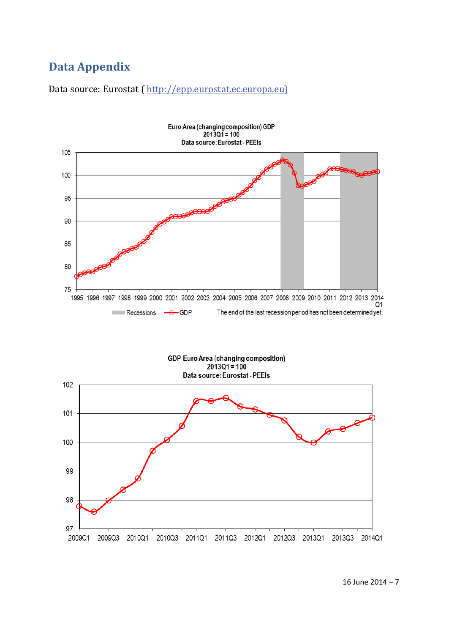# **Data Appendix**

Data source: Eurostat ( [http://epp.eurostat.ec.europa.eu\)](http://epp.eurostat.ec.europa.eu/)